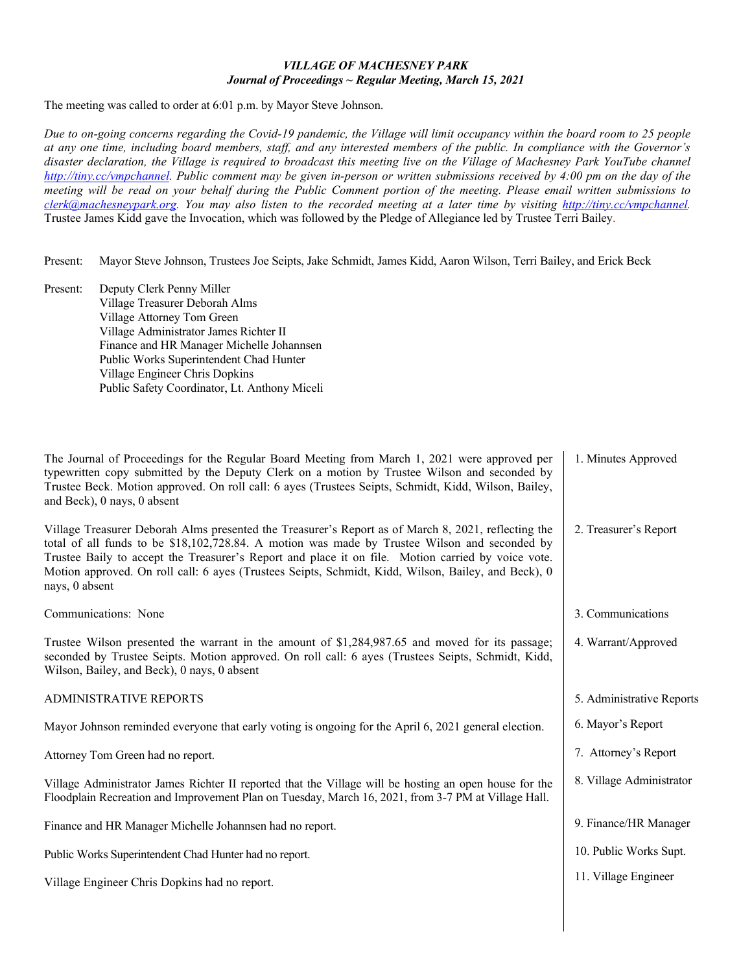## *VILLAGE OF MACHESNEY PARK Journal of Proceedings ~ Regular Meeting, March 15, 2021*

The meeting was called to order at 6:01 p.m. by Mayor Steve Johnson.

*Due to on-going concerns regarding the Covid-19 pandemic, the Village will limit occupancy within the board room to 25 people at any one time, including board members, staff, and any interested members of the public. In compliance with the Governor's disaster declaration, the Village is required to broadcast this meeting live on the Village of Machesney Park YouTube channel [http://tiny.cc/vmpchannel.](http://tiny.cc/vmpchannel) Public comment may be given in-person or written submissions received by 4:00 pm on the day of the meeting will be read on your behalf during the Public Comment portion of the meeting. Please email written submissions to [clerk@machesneypark.org.](mailto:clerk@machesneypark.org) You may also listen to the recorded meeting at a later time by visiting [http://tiny.cc/vmpchannel.](http://tiny.cc/vmpchannel)*  Trustee James Kidd gave the Invocation, which was followed by the Pledge of Allegiance led by Trustee Terri Bailey.

Present: Mayor Steve Johnson, Trustees Joe Seipts, Jake Schmidt, James Kidd, Aaron Wilson, Terri Bailey, and Erick Beck

Present: Deputy Clerk Penny Miller Village Treasurer Deborah Alms Village Attorney Tom Green Village Administrator James Richter II Finance and HR Manager Michelle Johannsen Public Works Superintendent Chad Hunter Village Engineer Chris Dopkins Public Safety Coordinator, Lt. Anthony Miceli

| The Journal of Proceedings for the Regular Board Meeting from March 1, 2021 were approved per<br>typewritten copy submitted by the Deputy Clerk on a motion by Trustee Wilson and seconded by<br>Trustee Beck. Motion approved. On roll call: 6 ayes (Trustees Seipts, Schmidt, Kidd, Wilson, Bailey,<br>and Beck), 0 nays, 0 absent                                                                                                | 1. Minutes Approved       |
|-------------------------------------------------------------------------------------------------------------------------------------------------------------------------------------------------------------------------------------------------------------------------------------------------------------------------------------------------------------------------------------------------------------------------------------|---------------------------|
| Village Treasurer Deborah Alms presented the Treasurer's Report as of March 8, 2021, reflecting the<br>total of all funds to be \$18,102,728.84. A motion was made by Trustee Wilson and seconded by<br>Trustee Baily to accept the Treasurer's Report and place it on file. Motion carried by voice vote.<br>Motion approved. On roll call: 6 ayes (Trustees Seipts, Schmidt, Kidd, Wilson, Bailey, and Beck), 0<br>nays, 0 absent | 2. Treasurer's Report     |
| Communications: None                                                                                                                                                                                                                                                                                                                                                                                                                | 3. Communications         |
| Trustee Wilson presented the warrant in the amount of \$1,284,987.65 and moved for its passage;<br>seconded by Trustee Seipts. Motion approved. On roll call: 6 ayes (Trustees Seipts, Schmidt, Kidd,<br>Wilson, Bailey, and Beck), 0 nays, 0 absent                                                                                                                                                                                | 4. Warrant/Approved       |
| <b>ADMINISTRATIVE REPORTS</b>                                                                                                                                                                                                                                                                                                                                                                                                       | 5. Administrative Reports |
| Mayor Johnson reminded everyone that early voting is ongoing for the April 6, 2021 general election.                                                                                                                                                                                                                                                                                                                                | 6. Mayor's Report         |
| Attorney Tom Green had no report.                                                                                                                                                                                                                                                                                                                                                                                                   | 7. Attorney's Report      |
| Village Administrator James Richter II reported that the Village will be hosting an open house for the<br>Floodplain Recreation and Improvement Plan on Tuesday, March 16, 2021, from 3-7 PM at Village Hall.                                                                                                                                                                                                                       | 8. Village Administrator  |
| Finance and HR Manager Michelle Johannsen had no report.                                                                                                                                                                                                                                                                                                                                                                            | 9. Finance/HR Manager     |
| Public Works Superintendent Chad Hunter had no report.                                                                                                                                                                                                                                                                                                                                                                              | 10. Public Works Supt.    |
| Village Engineer Chris Dopkins had no report.                                                                                                                                                                                                                                                                                                                                                                                       | 11. Village Engineer      |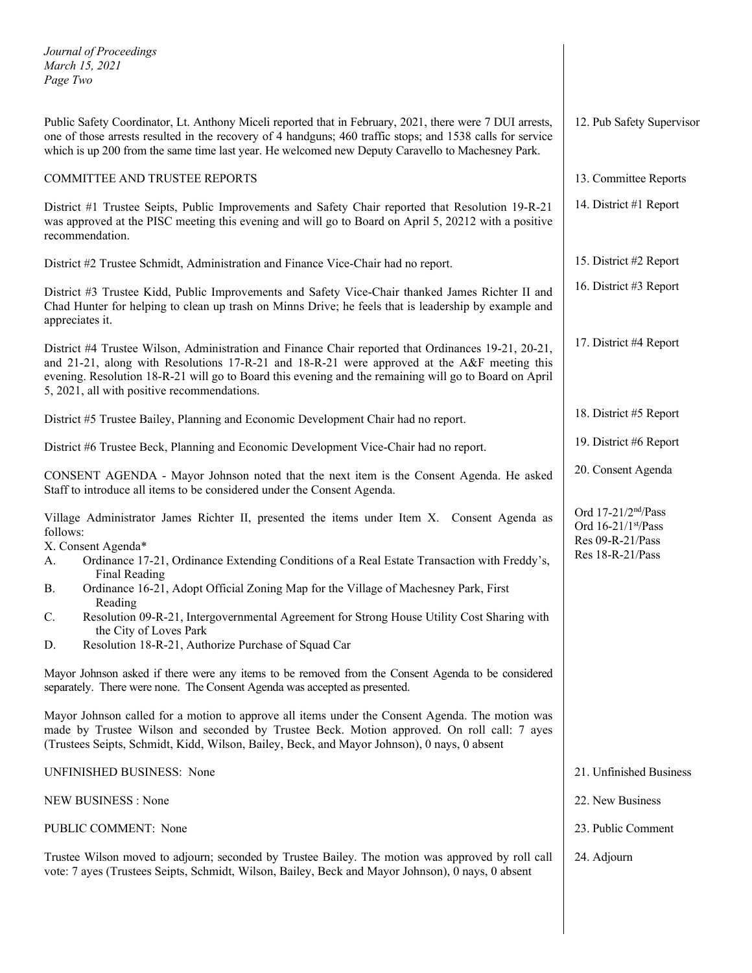*Journal of Proceedings March 15, 2021 Page Two*

Public Safety Coordinator, Lt. Anthony Miceli reported that in February, 2021, there were 7 DUI arrests, one of those arrests resulted in the recovery of 4 handguns; 460 traffic stops; and 1538 calls for service which is up 200 from the same time last year. He welcomed new Deputy Caravello to Machesney Park.

## COMMITTEE AND TRUSTEE REPORTS

District #1 Trustee Seipts, Public Improvements and Safety Chair reported that Resolution 19-R-21 was approved at the PISC meeting this evening and will go to Board on April 5, 20212 with a positive recommendation.

District #2 Trustee Schmidt, Administration and Finance Vice-Chair had no report.

District #3 Trustee Kidd, Public Improvements and Safety Vice-Chair thanked James Richter II and Chad Hunter for helping to clean up trash on Minns Drive; he feels that is leadership by example and appreciates it.

District #4 Trustee Wilson, Administration and Finance Chair reported that Ordinances 19-21, 20-21, and 21-21, along with Resolutions 17-R-21 and 18-R-21 were approved at the A&F meeting this evening. Resolution 18-R-21 will go to Board this evening and the remaining will go to Board on April 5, 2021, all with positive recommendations.

District #5 Trustee Bailey, Planning and Economic Development Chair had no report.

District #6 Trustee Beck, Planning and Economic Development Vice-Chair had no report.

CONSENT AGENDA - Mayor Johnson noted that the next item is the Consent Agenda. He asked Staff to introduce all items to be considered under the Consent Agenda.

Village Administrator James Richter II, presented the items under Item X. Consent Agenda as follows:

X. Consent Agenda\*

- A. Ordinance 17-21, Ordinance Extending Conditions of a Real Estate Transaction with Freddy's, Final Reading
- B. Ordinance 16-21, Adopt Official Zoning Map for the Village of Machesney Park, First Reading
- C. Resolution 09-R-21, Intergovernmental Agreement for Strong House Utility Cost Sharing with the City of Loves Park
- D. Resolution 18-R-21, Authorize Purchase of Squad Car

Mayor Johnson asked if there were any items to be removed from the Consent Agenda to be considered separately. There were none. The Consent Agenda was accepted as presented.

Mayor Johnson called for a motion to approve all items under the Consent Agenda. The motion was made by Trustee Wilson and seconded by Trustee Beck. Motion approved. On roll call: 7 ayes (Trustees Seipts, Schmidt, Kidd, Wilson, Bailey, Beck, and Mayor Johnson), 0 nays, 0 absent

UNFINISHED BUSINESS: None

NEW BUSINESS : None

PUBLIC COMMENT: None

Trustee Wilson moved to adjourn; seconded by Trustee Bailey. The motion was approved by roll call vote: 7 ayes (Trustees Seipts, Schmidt, Wilson, Bailey, Beck and Mayor Johnson), 0 nays, 0 absent

13. Committee Reports 14. District #1 Report 15. District #2 Report 16. District #3 Report

12. Pub Safety Supervisor

17. District #4 Report

18. District #5 Report 19. District #6 Report

20. Consent Agenda

Ord  $17-21/2<sup>nd</sup>/Pass$ Ord 16-21/1st/Pass Res 09-R-21/Pass Res 18-R-21/Pass

21. Unfinished Business

- 22. New Business
- 23. Public Comment
- 24. Adjourn